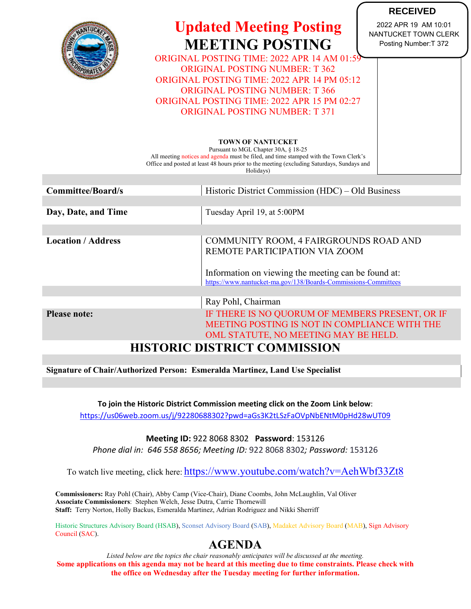

# **Updated Meeting Posting MEETING POSTING**

**RECEIVED** 2022 APR 19 AM 10:01 NANTUCKET TOWN CLERK Posting Number:T 372

ORIGINAL POSTING TIME: 2022 APR 14 AM 01:59 ORIGINAL POSTING NUMBER: T 362 ORIGINAL POSTING TIME: 2022 APR 14 PM 05:12 ORIGINAL POSTING NUMBER: T 366 ORIGINAL POSTING TIME: 2022 APR 15 PM 02:27 ORIGINAL POSTING NUMBER: T 371

### **TOWN OF NANTUCKET**

Pursuant to MGL Chapter 30A, § 18-25 All meeting notices and agenda must be filed, and time stamped with the Town Clerk's Office and posted at least 48 hours prior to the meeting (excluding Saturdays, Sundays and Holidays)

| <b>Committee/Board/s</b>            | Historic District Commission (HDC) – Old Business              |  |  |  |
|-------------------------------------|----------------------------------------------------------------|--|--|--|
|                                     |                                                                |  |  |  |
| Day, Date, and Time                 | Tuesday April 19, at 5:00PM                                    |  |  |  |
|                                     |                                                                |  |  |  |
| <b>Location / Address</b>           | COMMUNITY ROOM, 4 FAIRGROUNDS ROAD AND                         |  |  |  |
|                                     | REMOTE PARTICIPATION VIA ZOOM                                  |  |  |  |
|                                     |                                                                |  |  |  |
|                                     | Information on viewing the meeting can be found at:            |  |  |  |
|                                     | https://www.nantucket-ma.gov/138/Boards-Commissions-Committees |  |  |  |
|                                     |                                                                |  |  |  |
|                                     | Ray Pohl, Chairman                                             |  |  |  |
| <b>Please note:</b>                 | IF THERE IS NO QUORUM OF MEMBERS PRESENT, OR IF                |  |  |  |
|                                     | MEETING POSTING IS NOT IN COMPLIANCE WITH THE                  |  |  |  |
|                                     | OML STATUTE, NO MEETING MAY BE HELD.                           |  |  |  |
| <b>HISTORIC DISTRICT COMMISSION</b> |                                                                |  |  |  |

**Signature of Chair/Authorized Person: Esmeralda Martinez, Land Use Specialist**

**To join the Historic District Commission meeting click on the Zoom Link below**: <https://us06web.zoom.us/j/92280688302?pwd=aGs3K2tLSzFaOVpNbENtM0pHd28wUT09>

## **Meeting ID:** 922 8068 8302 **Password**: 153126

*Phone dial in: 646 558 8656; Meeting ID:* 922 8068 8302*; Password:* 153126

To watch live meeting, click here: <https://www.youtube.com/watch?v=AehWbf33Zt8>

**Commissioners:** Ray Pohl (Chair), Abby Camp (Vice-Chair), Diane Coombs, John McLaughlin, Val Oliver **Associate Commissioners**: Stephen Welch, Jesse Dutra, Carrie Thornewill **Staff:** Terry Norton, Holly Backus, Esmeralda Martinez, Adrian Rodriguez and Nikki Sherriff

Historic Structures Advisory Board (HSAB), Sconset Advisory Board (SAB), Madaket Advisory Board (MAB), Sign Advisory Council (SAC).

# **AGENDA**

*Listed below are the topics the chair reasonably anticipates will be discussed at the meeting.* **Some applications on this agenda may not be heard at this meeting due to time constraints. Please check with the office on Wednesday after the Tuesday meeting for further information.**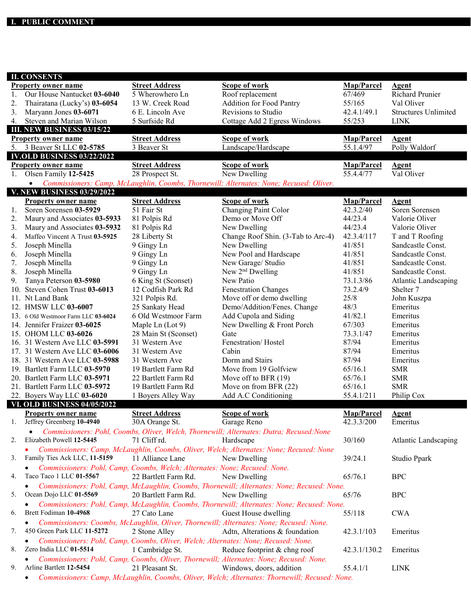| <b>II. CONSENTS</b><br><b>Street Address</b><br><b>Scope of work</b><br>Map/Parcel<br><b>Property owner name</b><br><b>Agent</b><br><b>Richard Prunier</b><br>Our House Nantucket 03-6040<br>5 Wherowhero Ln<br>Roof replacement<br>67/469<br>1.<br><b>Addition for Food Pantry</b><br>13 W. Creek Road<br>Val Oliver<br>2.<br>Thairatana (Lucky's) 03-6054<br>55/165 |                             |
|-----------------------------------------------------------------------------------------------------------------------------------------------------------------------------------------------------------------------------------------------------------------------------------------------------------------------------------------------------------------------|-----------------------------|
|                                                                                                                                                                                                                                                                                                                                                                       |                             |
|                                                                                                                                                                                                                                                                                                                                                                       |                             |
|                                                                                                                                                                                                                                                                                                                                                                       |                             |
| Revisions to Studio<br>3.<br>Maryann Jones 03-6071<br>6 E. Lincoln Ave<br>42.4.1/49.1                                                                                                                                                                                                                                                                                 | <b>Structures Unlimited</b> |
| Steven and Marian Wilson<br>5 Surfside Rd<br>Cottage Add 2 Egress Windows<br>55/253<br><b>LINK</b><br>4.                                                                                                                                                                                                                                                              |                             |
| <b>III. NEW BUSINESS 03/15/22</b>                                                                                                                                                                                                                                                                                                                                     |                             |
| <b>Scope of work</b><br>Map/Parcel<br><b>Street Address</b><br><b>Property owner name</b><br><b>Agent</b>                                                                                                                                                                                                                                                             |                             |
| 3 Beaver St LLC 02-5785<br>3 Beaver St<br>55.1.4/97<br>Polly Waldorf<br>Landscape/Hardscape<br>5.                                                                                                                                                                                                                                                                     |                             |
| <b>IV.OLD BUSINESS 03/22/2022</b>                                                                                                                                                                                                                                                                                                                                     |                             |
| <b>Street Address</b><br><b>Scope of work</b><br>Map/Parcel<br><b>Property owner name</b><br><b>Agent</b>                                                                                                                                                                                                                                                             |                             |
| Olsen Family 12-5425<br>New Dwelling<br>55.4.4/77<br>Val Oliver<br>28 Prospect St.<br>1.                                                                                                                                                                                                                                                                              |                             |
| Commissioners: Camp, McLaughlin, Coombs, Thornewill; Alternates: None; Recused: Oliver.<br>$\bullet$                                                                                                                                                                                                                                                                  |                             |
| <b>V. NEW BUSINESS 03/29/2022</b>                                                                                                                                                                                                                                                                                                                                     |                             |
| Map/Parcel<br><b>Street Address</b><br><b>Scope of work</b><br><b>Property owner name</b><br><b>Agent</b>                                                                                                                                                                                                                                                             |                             |
| Changing Paint Color<br>42.3.2/40<br>Soren Sorensen 03-5929<br>51 Fair St<br>Soren Sorensen<br>1.                                                                                                                                                                                                                                                                     |                             |
| Demo or Move Off<br>44/23.4<br>Maury and Associates 03-5933<br>Valorie Oliver<br>2.<br>81 Polpis Rd                                                                                                                                                                                                                                                                   |                             |
| Maury and Associates 03-5932<br>New Dwelling<br>44/23.4<br>Valorie Oliver<br>81 Polpis Rd<br>3.                                                                                                                                                                                                                                                                       |                             |
| Change Roof Shin. (3-Tab to Arc-4)<br>42.3.4/117<br>28 Liberty St<br>T and T Roofing<br>Maffeo Vincent A Trust 03-5925<br>4.                                                                                                                                                                                                                                          |                             |
| 9 Gingy Ln<br>New Dwelling<br>41/851<br>Joseph Minella<br>Sandcastle Const.<br>5.                                                                                                                                                                                                                                                                                     |                             |
| Joseph Minella<br>9 Gingy Ln<br>New Pool and Hardscape<br>41/851<br>Sandcastle Const.<br>6.                                                                                                                                                                                                                                                                           |                             |
| Joseph Minella<br>9 Gingy Ln<br>New Garage/ Studio<br>41/851<br>Sandcastle Const.<br>7.                                                                                                                                                                                                                                                                               |                             |
| New 2 <sup>nd</sup> Dwelling<br>8.<br>Joseph Minella<br>9 Gingy Ln<br>41/851<br>Sandcastle Const.                                                                                                                                                                                                                                                                     |                             |
| Tanya Peterson 03-5980<br>6 King St (Sconset)<br>73.1.3/86<br>9.<br>New Patio<br><b>Atlantic Landscaping</b>                                                                                                                                                                                                                                                          |                             |
| 10. Steven Cohen Trust 03-6013<br>12 Codfish Park Rd<br><b>Fenestration Changes</b><br>73.2.4/9<br>Shelter <sub>7</sub>                                                                                                                                                                                                                                               |                             |
| Move off or demo dwelling<br>11. Nt Land Bank<br>321 Polpis Rd.<br>25/8<br>John Kuszpa                                                                                                                                                                                                                                                                                |                             |
| Demo/Addition/Fenes. Change<br>Emeritus<br>12. HMSW LLC 03-6007<br>25 Sankaty Head<br>48/3                                                                                                                                                                                                                                                                            |                             |
| 6 Old Westmoor Farm<br>Add Cupola and Siding<br>41/82.1<br>Emeritus<br>13. 6 Old Westmoor Farm LLC 03-6024                                                                                                                                                                                                                                                            |                             |
| New Dwelling & Front Porch<br>67/303<br>14. Jennifer Fraizer 03-6025<br>Maple Ln (Lot 9)<br>Emeritus                                                                                                                                                                                                                                                                  |                             |
| Emeritus<br>15. OHOM LLC 03-6026<br>28 Main St (Sconset)<br>Gate<br>73.3.1/47                                                                                                                                                                                                                                                                                         |                             |
| Fenestration/Hostel<br>87/94<br>Emeritus<br>16. 31 Western Ave LLC 03-5991<br>31 Western Ave                                                                                                                                                                                                                                                                          |                             |
| Cabin<br>87/94<br>Emeritus<br>17. 31 Western Ave LLC 03-6006<br>31 Western Ave                                                                                                                                                                                                                                                                                        |                             |
| Dorm and Stairs<br>87/94<br>Emeritus<br>18. 31 Western Ave LLC 03-5988<br>31 Western Ave                                                                                                                                                                                                                                                                              |                             |
| 19. Bartlett Farm LLC 03-5970<br>19 Bartlett Farm Rd<br>Move from 19 Golfview<br>65/16.1<br><b>SMR</b>                                                                                                                                                                                                                                                                |                             |
| Move off to BFR (19)<br><b>SMR</b><br>20. Bartlett Farm LLC 03-5971<br>22 Bartlett Farm Rd<br>65/76.1                                                                                                                                                                                                                                                                 |                             |
| Move on from BFR (22)<br><b>SMR</b><br>21. Bartlett Farm LLC 03-5972<br>19 Bartlett Farm Rd<br>65/16.1                                                                                                                                                                                                                                                                |                             |
| Add A.C Conditioning<br>55.4.1/211<br>Philip Cox<br>22. Boyers Way LLC 03-6020<br>1 Boyers Alley Way                                                                                                                                                                                                                                                                  |                             |
| <b>VI. OLD BUSINESS 04/05/2022</b>                                                                                                                                                                                                                                                                                                                                    |                             |
| <b>Street Address</b><br><b>Map/Parcel</b><br><b>Property owner name</b><br><b>Scope of work</b><br><b>Agent</b>                                                                                                                                                                                                                                                      |                             |
| Jeffrey Greenberg 10-4940<br>42.3.3/200<br>30A Orange St.<br>Garage Reno<br>1.<br>Emeritus                                                                                                                                                                                                                                                                            |                             |
| Commissioners: Pohl, Coombs, Oliver, Welch, Thornewill; Alternates: Dutra; Recused: None                                                                                                                                                                                                                                                                              |                             |
| Elizabeth Powell 12-5445<br>71 Cliff rd.<br>30/160<br>2.<br>Hardscape<br><b>Atlantic Landscaping</b>                                                                                                                                                                                                                                                                  |                             |
| Commissioners: Camp, McLaughlin, Coombs, Oliver, Welch; Alternates: None; Recused: None                                                                                                                                                                                                                                                                               |                             |
| Family Ties Ack LLC, 11-5159<br>11 Alliance Lane<br>New Dwelling<br>Studio Ppark<br>3.<br>39/24.1                                                                                                                                                                                                                                                                     |                             |
| Commissioners: Pohl, Camp, Coombs, Welch; Alternates: None; Recused: None.                                                                                                                                                                                                                                                                                            |                             |
| Taco Taco 1 LLC 01-5567<br>22 Bartlett Farm Rd.<br>New Dwelling<br>65/76.1<br><b>BPC</b><br>4.                                                                                                                                                                                                                                                                        |                             |
| Commissioners: Pohl, Camp, McLaughlin, Coombs, Thornewill; Alternates: None; Recused: None.                                                                                                                                                                                                                                                                           |                             |
| Ocean Dojo LLC 01-5569<br>New Dwelling<br><b>BPC</b><br>20 Bartlett Farm Rd.<br>65/76<br>5.                                                                                                                                                                                                                                                                           |                             |
| Commissioners: Pohl, Camp, McLaughlin, Coombs, Thornewill; Alternates: None; Recused: None.                                                                                                                                                                                                                                                                           |                             |
| Brett Fodiman 10-4968<br>27 Cato Lane<br>Guest House dwelling<br><b>CWA</b><br>55/118<br>6.                                                                                                                                                                                                                                                                           |                             |
| Commissioners: Coombs, McLaughlin, Oliver, Thornewill; Alternates: None; Recused: None.                                                                                                                                                                                                                                                                               |                             |
| 450 Green Park LLC 11-5272<br>2 Stone Alley<br>Adtn, Alterations & foundation<br>Emeritus<br>42.3.1/103<br>7.                                                                                                                                                                                                                                                         |                             |
| Commissioners: Pohl, Camp, Coombs, Oliver, Welch; Alternates: None; Recused: None.                                                                                                                                                                                                                                                                                    |                             |
| Zero India LLC 01-5514<br>1 Cambridge St.<br>Reduce footprint & chng roof<br>42.3.1/130.2<br>Emeritus<br>8.                                                                                                                                                                                                                                                           |                             |
| Commissioners: Pohl, Camp, Coombs, Oliver, Thornewill; Alternates: None; Recused: None.                                                                                                                                                                                                                                                                               |                             |
| Arline Bartlett 12-5454<br>21 Pleasant St.<br>9.<br>Windows, doors, addition<br><b>LINK</b><br>55.4.1/1                                                                                                                                                                                                                                                               |                             |
| Commissioners: Camp, McLaughlin, Coombs, Oliver, Welch; Alternates: Thornewill; Recused: None.                                                                                                                                                                                                                                                                        |                             |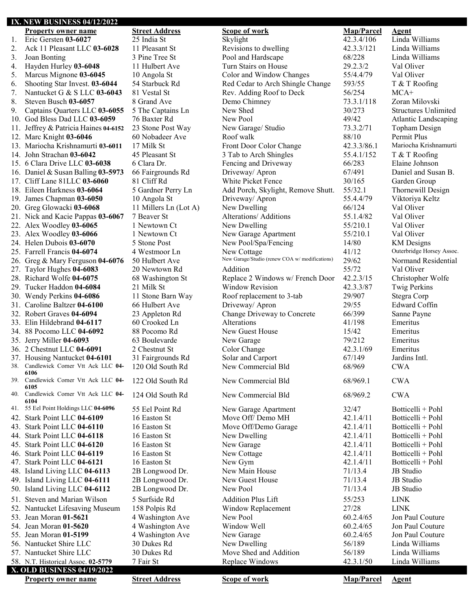### **IX. NEW BUSINESS 04/12/2022 Property owner name Street Address Scope of work Map/Parcel Agent** 1. Eric Gersten **03-6027** 25 India St<br>
2. Ack 11 Pleasant LLC **03-6028** 11 Pleasant St<br>
2. Ack 11 Pleasant LLC **03-6028** 11 Pleasant St<br>
2. Ack 11 Pleasant LLC **03-6028** 11 Pleasant St 2. Ack 11 Pleasant LLC 03-6028 11 Pleasant St Revisions to dwelling 3. Joan Bonting 3 Pine Tree St Pool and Hardscape 68/228 Linda Williams 4. Hayden Hurley **03-6048** 11 Hulbert Ave Turn Stairs on House 29.2.3/2 Val Oliver 5. Marcus Mignone **03-6045** 10 Angola St Color and Window Changes 55/4.4/79 Val Oliver 6. Shooting Star Invest. **03-6044** 54 Starbuck Rd Red Cedar to Arch Shingle Change 593/55 T & T Roofing 7. Nantucket G & S LLC 03-6043 81 Vestal St<br>
8. Steven Busch 03-6057 8 Grand Ave Demo Chimney 23.3.1/118 Zoran N 8. Steven Busch **03-6057** 8 Grand Ave Demo Chimney 73.3.1/118 Zoran Milovski 9. Captains Quarters LLC **03-6055** 5 The Captains Ln New Shed 30/273 Structures Unlimited 10. God Bless Dad LLC 03-6059 76 Baxter Rd<br>
11. Jeffrey & Patricia Haines 04-6152 23 Stone Post Way New Garage/ Studio 73.3.2/71 Topham Design 11. Jeffrey & Patricia Haines **04-6152** 23 Stone Post Way New Garage/ Studio 73.3.2/71 Topham Design 12. Marc Knight **03-6046** 60 Nobadeer Ave Roof walk 88/10 Permit Plus 13. Mariocha Krishnamurti **03-6011** 17 Milk St Front Door Color Change 42.3.3/86.1 Mariocha Krishnamurti 14. John Strachan **03-6042** 45 Pleasant St 3 Tab to Arch Shingles 55.4.1/152 T & T Roofing 15. 6 Clara Drive LLC **03-6038** 6 Clara Dr. Fencing and Driveway 66/283 Elaine Johnson 16. Daniel & Susan Balling **03-5973** 66 Fairgrounds Rd Driveway/ Apron 67/491 Daniel and Susan B. 17. Cliff Lane 81LLC **03-6060** 81 Cliff Rd White Picket Fence 30/165 Garden Group 18. Eileen Harkness **03-6064** 5 Gardner Perry Ln Add Porch, Skylight, Remove Shutt. 55/32.1 Thornewill Design 19. James Chapman 03-6050 10 Angola St Driveway/ Apron 55.4.4/79 Viktoriya Keltz<br>20. Greg Glowacki 03-6068 11 Millers Ln (Lot A) New Dwelling 66/124 Val Oliver 20. Greg Glowacki **03-6068** 11 Millers Ln (Lot A) New Dwelling 66/124 21. Nick and Kacie Pappas **03-6067** 7 Beaver St Alterations/ Additions 55.1.4/82 Val Oliver 22. Alex Woodley **03-6065** 1 Newtown Ct New Dwelling 55/210.1 Val Oliver 23. Alex Woodley 03-6066 1 Newtown Ct New Garage Apartment 55/210.1 24. Helen Dubois 03-6070 5 Stone Post New Pool/Spa/Fencing 14/80 KM Designs 25. Farrell Francis **04-6074** 4 Westmoor Ln<br>
26. Greg & Mary Ferguson **04-6076** 50 Hulbert Ave New Garage/Studio (renew COA w/modifications) 29/62 Normand Residential 26. Greg & Mary Ferguson 04-6076 50 Hulbert Ave New Garage/Studio (renew COA w/ modifications) 29/62 Normand Residential 27. Taylor Hughes **04-6083** 20 Newtown Rd Addition 55/72 Val Oliver 28. Richard Wolfe **04-6075** 68 Washington St Replace 2 Windows w/ French Door 42.2.3/15 Christopher Wolfe 29. Tucker Haddon **04-6084** 21 Milk St Window Revision 42.3.3/87 Twig Perkins 29. Tucker Haddon 04-6084 30. Wendy Perkins **04-6086** 11 Stone Barn Way Roof replacement to 3-tab 29/907 Stegra Corp 31. Caroline Baltzer 04-6100 66 Hulbert Ave **Driveway/ Apron** 29/55 Edward Coffin<br>32. Robert Graves 04-6094 23 Appleton Rd Change Driveway to Concrete 66/399 Sanne Payne 23 Appleton Rd Change Driveway to Concrete 33. Elin Hildebrand **04-6117** 60 Crooked Ln Alterations 41/198 Emeritus 34. 88 Pocomo LLC 04-6092 88 Pocomo Rd<br>35. Jerry Miller 04-6093 63 Boulevarde New Garage 15/42 Emeritus 2012 35. Jerry Miller **04-6093** 63 Boulevarde New Garage 36. 2 Chestnut LLC **04-6091** 2 Chestnut St Color Change 42.3.1/69 Emeritus 37. Housing Nantucket **04-6101** 31 Fairgrounds Rd Solar and Carport 67/149 Jardins Intl.<br>38. Candlewick Corner Vtt Ack LLC 04- 120 Old South Rd New Commercial Bld 68/969 CWA 38. Candlewick Corner Vtt Ack LLC **04- 6106** New Commercial Bld 68/969 CWA 39. Candlewick Corner Vtt Ack LLC **04- 6105** 122 Old South Rd New Commercial Bld 68/969.1 CWA 40. Candlewick Corner Vtt Ack LLC **04- 6104** 124 Old South Rd New Commercial Bld 68/969.2 CWA 41. 55 Eel Point Holdings LLC **04-6096** 55 Eel Point Rd New Garage Apartment 32/47 Botticelli + Pohl 42. Stark Point LLC **04-6109** 16 Easton St Move Off/ Demo MH 42.1.4/11 Botticelli + Pohl 43. Stark Point LLC **04-6110** 16 Easton St Move Off/Demo Garage 42.1.4/11 Botticelli + Pohl 44. Stark Point LLC **04-6118** 16 Easton St New Dwelling 42.1.4/11 Botticelli + Pohl 45. Stark Point LLC **04-6120** 16 Easton St New Garage 42.1.4/11 Botticelli + Pohl 46. Stark Point LLC **04-6119** 16 Easton St New Cottage 42.1.4/11 Botticelli + Pohl 47. Stark Point LLC **04-6121** 16 Easton St New Gym 42.1.4/11 Botticelli + Pohl 48. Island Living LLC **04-6113** 2B Longwood Dr. New Main House 71/13.4 JB Studio 49. Island Living LLC **04-6111** 2B Longwood Dr. New Guest House 71/13.4 JB Studio 50. Island Living LLC **04-6112** 2B Longwood Dr. New Pool 71/13.4 JB Studio 51. Steven and Marian Wilson 5 Surfside Rd Addition Plus Lift 55/253 LINK 52. Nantucket Lifesaving Museum 158 Polpis Rd Window Replacement 27/28 LINK 53. Jean Moran **01-5621** 4 Washington Ave New Pool 60.2.4/65 Jon Paul Couture 54. Jean Moran **01-5620** 4 Washington Ave Window Well 60.2.4/65 Jon Paul Couture 55. Jean Moran **01-5199** 4 Washington Ave New Garage 60.2.4/65 Jon Paul Couture 56. Nantucket Shire LLC 30 Dukes Rd New Dwelling 56/189 Linda Williams 57. Nantucket Shire LLC 30 Dukes Rd Move Shed and Addition 56/189 Linda Williams 58. N.T. Historical Assoc. 02-5779 7 Fair St Replace Windows 42.3.1/50 Linda Williams **X. OLD BUSINESS 04/19/2022 Property owner name Street Address Scope of work Map/Parcel Agent**